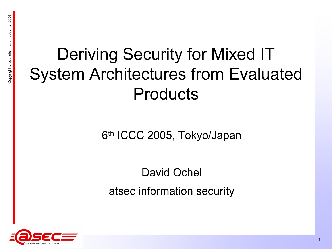### ENERGINE Atsec in the Security for Mixed IT<br>System Architectures from Evaluated Products

6th ICCC 2005, Tokyo/Japan

David Ochel atsec information security

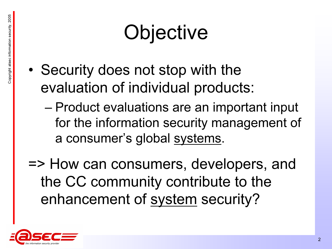- Copyright and Copyright and Security does not stop with the evaluation of individual products:
	- – Product evaluations are an important input for the information security management of a consumer's global systems.
	- => How can consumers, developers, and the CC community contribute to the enhancement of system security?

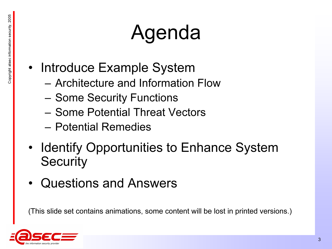- ENERGY COPYRIGHT AGENDA<br>
FRANCE INTRODUCE Example System<br>
Architecture and Information Example
	- Architecture and Information Flow
	- Some Security Functions
	- Some Potential Threat Vectors
	- Potential Remedies
	- Identify Opportunities to Enhance System **Security**
	- •Questions and Answers

(This slide set contains animations, some content will be lost in printed versions.)

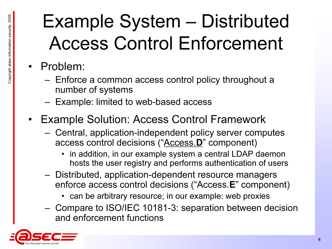# Example System – Distributed<br>Access Control Enforcement<br>• Problem: – Enforce a common access control policy throughout a

- - number of systems
	- Example: limited to web-based access
- $\bullet$  Example Solution: Access Control Framework
	- Central, application-independent policy server computes access control decisions ("Access.D" component)
		- in addition, in our example system a central LDAP daemon hosts the user registry and performs authentication of users
	- Distributed, application-dependent resource managers enforce access control decisions ("Access.E" component)
		- can be arbitrary resource; in our example: web proxies
	- Compare to ISO/IEC 10181-3: separation between decision and enforcement functions

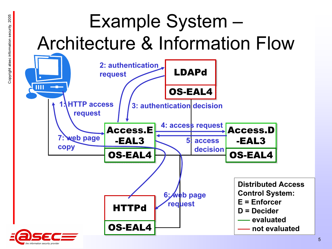### Example System –<br>Architecture & Information Flow<br>Request<br>Example System –<br>Example System –



formation security provide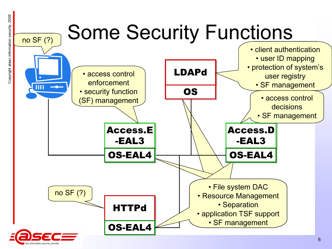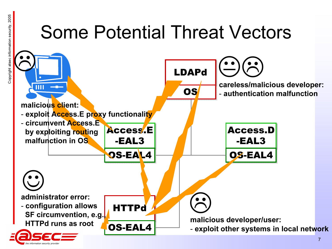### Some Potential Threat Vectors



information security provider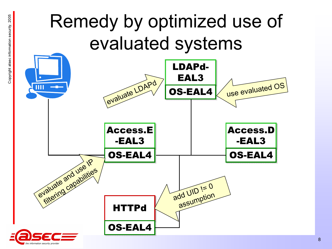### Remedy by optimized use of<br>evaluated systems<br>EAL3



nformation security provider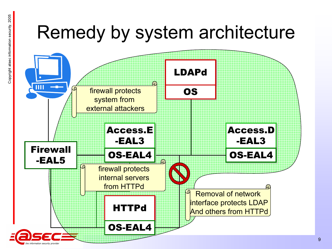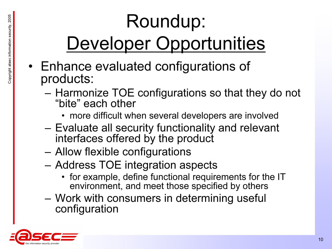# **Coundup:**<br>Comportunities Roundup:<br>Beveloper Opportunities • Enhance evaluated configurations of products:

- - Harmonize TOE configurations so that they do not "bite" each other
		- more difficult when several developers are involved
	- Evaluate all security functionality and relevant interfaces offered by the product
	- Allow flexible configurations
	- – Address TOE integration aspects
		- for example, define functional requirements for the IT environment, and meet those specified by others
	- – Work with consumers in determining useful configuration

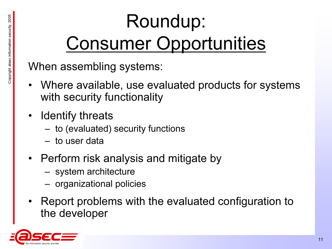# **Consumer Opportunities**<br> **Example Supportunities**<br>
When assembling systems:<br>
Where are italy we are italy to a sure it for a

- Where available, use evaluated products for systems with security functionality
- Identify threats
	- to (evaluated) security functions
	- to user data
- Perform risk analysis and mitigate by
	- system architecture
	- organizational policies
- Report problems with the evaluated configuration to the developer

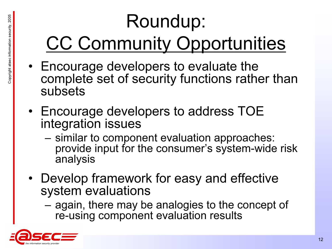# $\begin{array}{c} \begin{array}{c} \begin{array}{c} \begin{array}{c} \begin{array}{c} \begin{array}{c} \begin{array}{c} \begin{array}{c} \end{array} \end{array} \end{array} \ \text{C}\ \text{C}\ \text{Commutity} \ \text{Opportunities} \end{array} \end{array} \ \begin{array}{c} \begin{array}{c} \begin{array}{c} \end{array} \end{array} \end{array} \end{array} \end{array} \end{array} \end{array}$

- subsets
- Encourage developers to address TOE integration issues
	- similar to component evaluation approaches: provide input for the consumer's system-wide risk analysis
- Develop framework for easy and effective system evaluations
	- again, there may be analogies to the concept of re-using component evaluation results